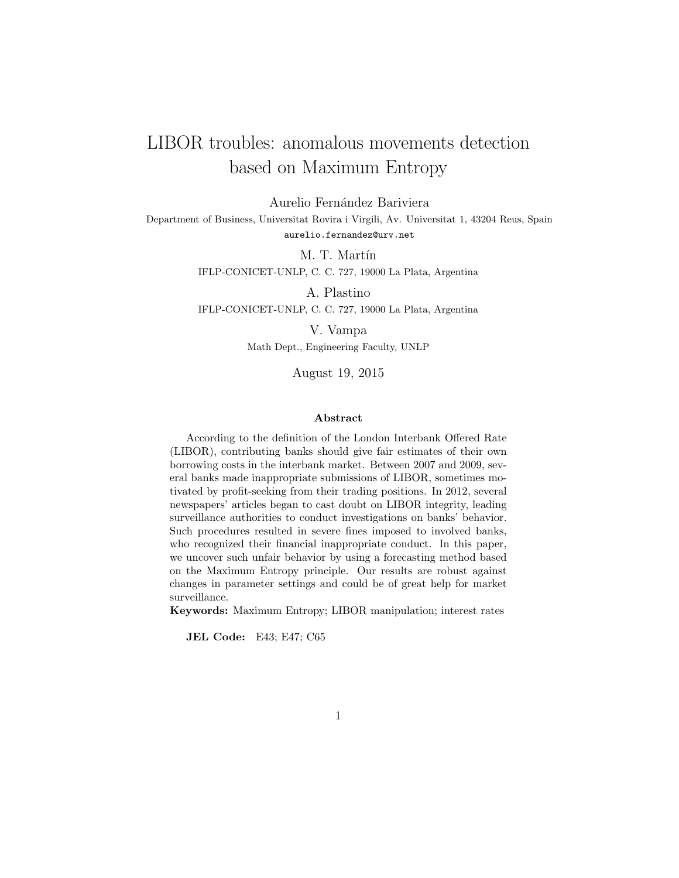# LIBOR troubles: anomalous movements detection based on Maximum Entropy

Aurelio Fernández Bariviera Department of Business, Universitat Rovira i Virgili, Av. Universitat 1, 43204 Reus, Spain aurelio.fernandez@urv.net

> M. T. Martín IFLP-CONICET-UNLP, C. C. 727, 19000 La Plata, Argentina

> A. Plastino IFLP-CONICET-UNLP, C. C. 727, 19000 La Plata, Argentina

> > V. Vampa Math Dept., Engineering Faculty, UNLP

> > > August 19, 2015

#### Abstract

According to the definition of the London Interbank Offered Rate (LIBOR), contributing banks should give fair estimates of their own borrowing costs in the interbank market. Between 2007 and 2009, several banks made inappropriate submissions of LIBOR, sometimes motivated by profit-seeking from their trading positions. In 2012, several newspapers' articles began to cast doubt on LIBOR integrity, leading surveillance authorities to conduct investigations on banks' behavior. Such procedures resulted in severe fines imposed to involved banks, who recognized their financial inappropriate conduct. In this paper, we uncover such unfair behavior by using a forecasting method based on the Maximum Entropy principle. Our results are robust against changes in parameter settings and could be of great help for market surveillance.

Keywords: Maximum Entropy; LIBOR manipulation; interest rates

JEL Code: E43; E47; C65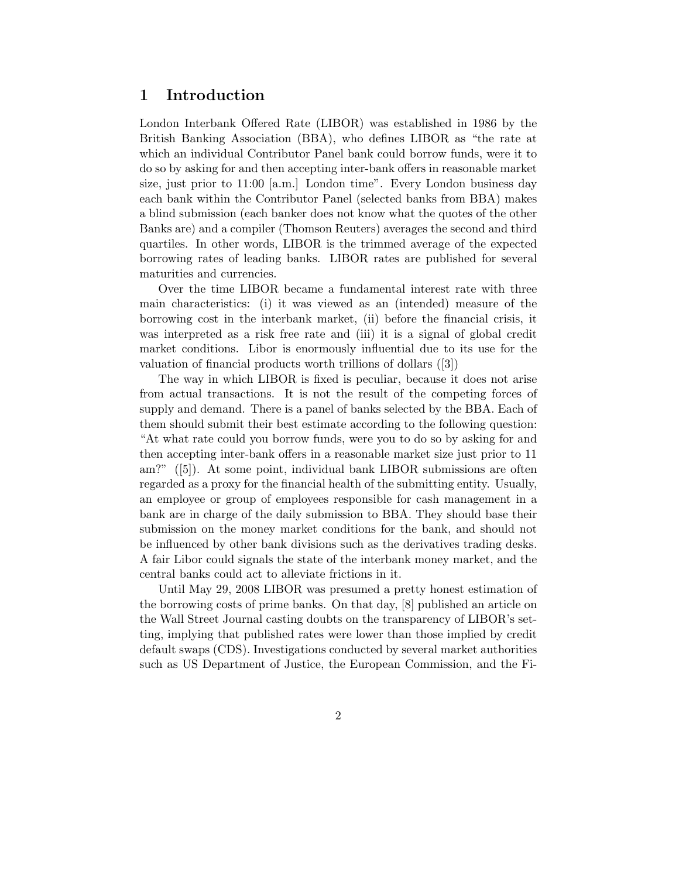## 1 Introduction

London Interbank Offered Rate (LIBOR) was established in 1986 by the British Banking Association (BBA), who defines LIBOR as "the rate at which an individual Contributor Panel bank could borrow funds, were it to do so by asking for and then accepting inter-bank offers in reasonable market size, just prior to 11:00 [a.m.] London time". Every London business day each bank within the Contributor Panel (selected banks from BBA) makes a blind submission (each banker does not know what the quotes of the other Banks are) and a compiler (Thomson Reuters) averages the second and third quartiles. In other words, LIBOR is the trimmed average of the expected borrowing rates of leading banks. LIBOR rates are published for several maturities and currencies.

Over the time LIBOR became a fundamental interest rate with three main characteristics: (i) it was viewed as an (intended) measure of the borrowing cost in the interbank market, (ii) before the financial crisis, it was interpreted as a risk free rate and (iii) it is a signal of global credit market conditions. Libor is enormously influential due to its use for the valuation of financial products worth trillions of dollars ([3])

The way in which LIBOR is fixed is peculiar, because it does not arise from actual transactions. It is not the result of the competing forces of supply and demand. There is a panel of banks selected by the BBA. Each of them should submit their best estimate according to the following question: "At what rate could you borrow funds, were you to do so by asking for and then accepting inter-bank offers in a reasonable market size just prior to 11 am?" ([5]). At some point, individual bank LIBOR submissions are often regarded as a proxy for the financial health of the submitting entity. Usually, an employee or group of employees responsible for cash management in a bank are in charge of the daily submission to BBA. They should base their submission on the money market conditions for the bank, and should not be influenced by other bank divisions such as the derivatives trading desks. A fair Libor could signals the state of the interbank money market, and the central banks could act to alleviate frictions in it.

Until May 29, 2008 LIBOR was presumed a pretty honest estimation of the borrowing costs of prime banks. On that day, [8] published an article on the Wall Street Journal casting doubts on the transparency of LIBOR's setting, implying that published rates were lower than those implied by credit default swaps (CDS). Investigations conducted by several market authorities such as US Department of Justice, the European Commission, and the Fi-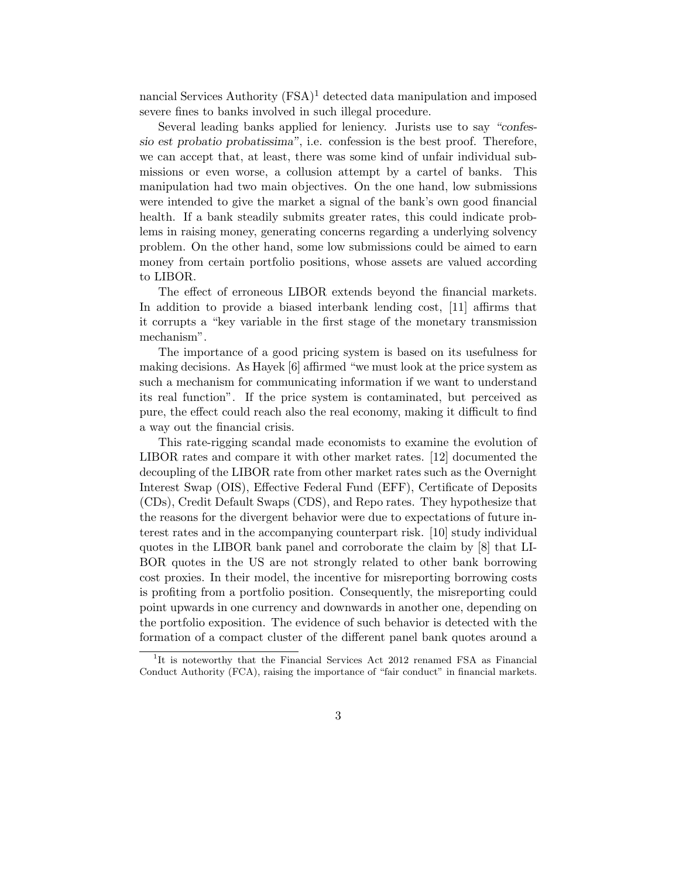nancial Services Authority  $(FSA)^1$  detected data manipulation and imposed severe fines to banks involved in such illegal procedure.

Several leading banks applied for leniency. Jurists use to say "confessio est probatio probatissima", i.e. confession is the best proof. Therefore, we can accept that, at least, there was some kind of unfair individual submissions or even worse, a collusion attempt by a cartel of banks. This manipulation had two main objectives. On the one hand, low submissions were intended to give the market a signal of the bank's own good financial health. If a bank steadily submits greater rates, this could indicate problems in raising money, generating concerns regarding a underlying solvency problem. On the other hand, some low submissions could be aimed to earn money from certain portfolio positions, whose assets are valued according to LIBOR.

The effect of erroneous LIBOR extends beyond the financial markets. In addition to provide a biased interbank lending cost, [11] affirms that it corrupts a "key variable in the first stage of the monetary transmission mechanism".

The importance of a good pricing system is based on its usefulness for making decisions. As Hayek [6] affirmed "we must look at the price system as such a mechanism for communicating information if we want to understand its real function". If the price system is contaminated, but perceived as pure, the effect could reach also the real economy, making it difficult to find a way out the financial crisis.

This rate-rigging scandal made economists to examine the evolution of LIBOR rates and compare it with other market rates. [12] documented the decoupling of the LIBOR rate from other market rates such as the Overnight Interest Swap (OIS), Effective Federal Fund (EFF), Certificate of Deposits (CDs), Credit Default Swaps (CDS), and Repo rates. They hypothesize that the reasons for the divergent behavior were due to expectations of future interest rates and in the accompanying counterpart risk. [10] study individual quotes in the LIBOR bank panel and corroborate the claim by [8] that LI-BOR quotes in the US are not strongly related to other bank borrowing cost proxies. In their model, the incentive for misreporting borrowing costs is profiting from a portfolio position. Consequently, the misreporting could point upwards in one currency and downwards in another one, depending on the portfolio exposition. The evidence of such behavior is detected with the formation of a compact cluster of the different panel bank quotes around a

<sup>&</sup>lt;sup>1</sup>It is noteworthy that the Financial Services Act 2012 renamed FSA as Financial Conduct Authority (FCA), raising the importance of "fair conduct" in financial markets.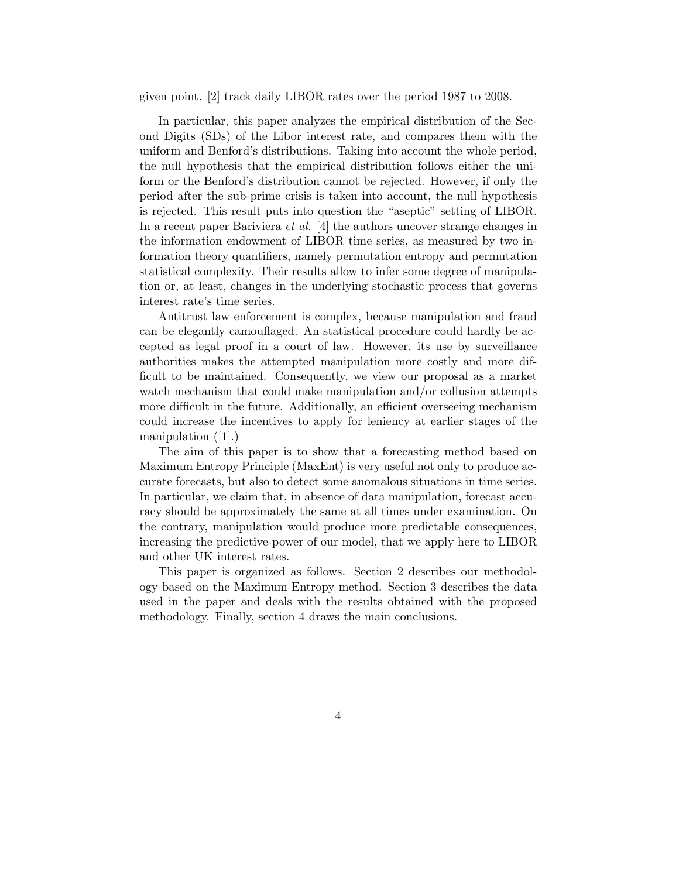given point. [2] track daily LIBOR rates over the period 1987 to 2008.

In particular, this paper analyzes the empirical distribution of the Second Digits (SDs) of the Libor interest rate, and compares them with the uniform and Benford's distributions. Taking into account the whole period, the null hypothesis that the empirical distribution follows either the uniform or the Benford's distribution cannot be rejected. However, if only the period after the sub-prime crisis is taken into account, the null hypothesis is rejected. This result puts into question the "aseptic" setting of LIBOR. In a recent paper Bariviera *et al.* [4] the authors uncover strange changes in the information endowment of LIBOR time series, as measured by two information theory quantifiers, namely permutation entropy and permutation statistical complexity. Their results allow to infer some degree of manipulation or, at least, changes in the underlying stochastic process that governs interest rate's time series.

Antitrust law enforcement is complex, because manipulation and fraud can be elegantly camouflaged. An statistical procedure could hardly be accepted as legal proof in a court of law. However, its use by surveillance authorities makes the attempted manipulation more costly and more difficult to be maintained. Consequently, we view our proposal as a market watch mechanism that could make manipulation and/or collusion attempts more difficult in the future. Additionally, an efficient overseeing mechanism could increase the incentives to apply for leniency at earlier stages of the manipulation ([1].)

The aim of this paper is to show that a forecasting method based on Maximum Entropy Principle (MaxEnt) is very useful not only to produce accurate forecasts, but also to detect some anomalous situations in time series. In particular, we claim that, in absence of data manipulation, forecast accuracy should be approximately the same at all times under examination. On the contrary, manipulation would produce more predictable consequences, increasing the predictive-power of our model, that we apply here to LIBOR and other UK interest rates.

This paper is organized as follows. Section 2 describes our methodology based on the Maximum Entropy method. Section 3 describes the data used in the paper and deals with the results obtained with the proposed methodology. Finally, section 4 draws the main conclusions.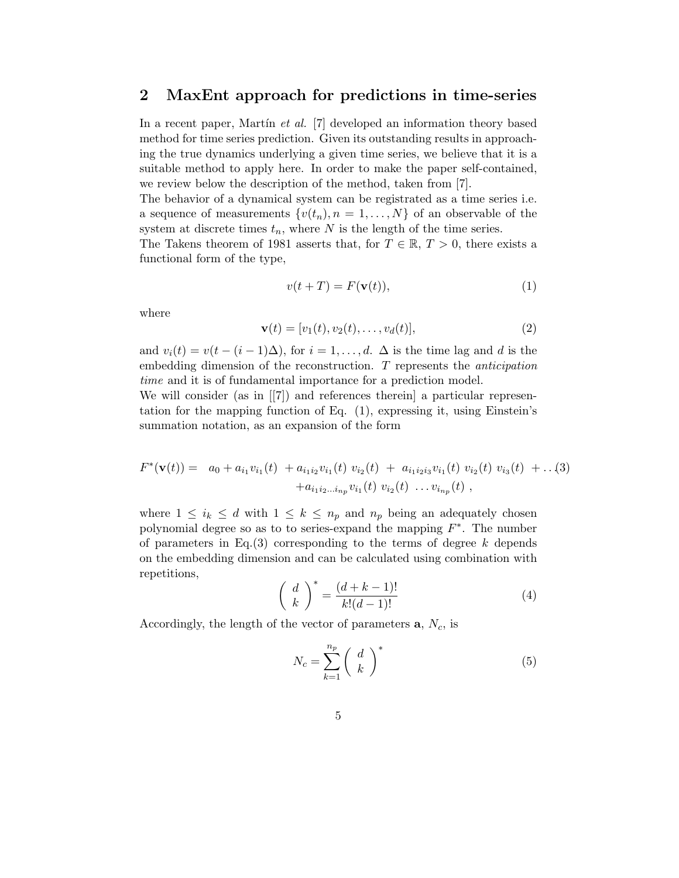### 2 MaxEnt approach for predictions in time-series

In a recent paper, Martin *et al.* [7] developed an information theory based method for time series prediction. Given its outstanding results in approaching the true dynamics underlying a given time series, we believe that it is a suitable method to apply here. In order to make the paper self-contained, we review below the description of the method, taken from [7].

The behavior of a dynamical system can be registrated as a time series i.e. a sequence of measurements  $\{v(t_n), n = 1, \ldots, N\}$  of an observable of the system at discrete times  $t_n$ , where N is the length of the time series.

The Takens theorem of 1981 asserts that, for  $T \in \mathbb{R}, T > 0$ , there exists a functional form of the type,

$$
v(t+T) = F(\mathbf{v}(t)),\tag{1}
$$

where

$$
\mathbf{v}(t) = [v_1(t), v_2(t), \dots, v_d(t)], \qquad (2)
$$

and  $v_i(t) = v(t - (i-1)\Delta)$ , for  $i = 1, \ldots, d$ .  $\Delta$  is the time lag and d is the embedding dimension of the reconstruction. T represents the *anticipation time* and it is of fundamental importance for a prediction model. We will consider (as in [[7]) and references therein a particular represen-

tation for the mapping function of Eq. (1), expressing it, using Einstein's summation notation, as an expansion of the form

$$
F^*(\mathbf{v}(t)) = a_0 + a_{i_1}v_{i_1}(t) + a_{i_1i_2}v_{i_1}(t)v_{i_2}(t) + a_{i_1i_2i_3}v_{i_1}(t)v_{i_2}(t)v_{i_3}(t) + \dots (3) + a_{i_1i_2\dots i_{np}}v_{i_1}(t)v_{i_2}(t)\dots v_{i_{np}}(t),
$$

where  $1 \leq i_k \leq d$  with  $1 \leq k \leq n_p$  and  $n_p$  being an adequately chosen polynomial degree so as to to series-expand the mapping  $F^*$ . The number of parameters in Eq.(3) corresponding to the terms of degree  $k$  depends on the embedding dimension and can be calculated using combination with repetitions,

$$
\left(\begin{array}{c} d \\ k \end{array}\right)^* = \frac{(d+k-1)!}{k!(d-1)!} \tag{4}
$$

Accordingly, the length of the vector of parameters  $a, N_c$ , is

$$
N_c = \sum_{k=1}^{n_p} \left(\begin{array}{c} d \\ k \end{array}\right)^* \tag{5}
$$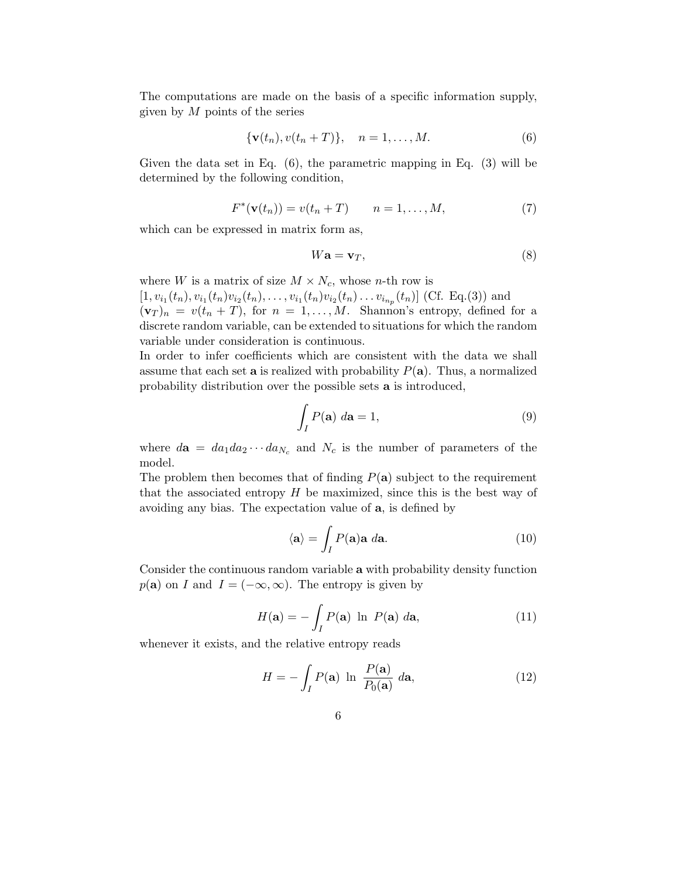The computations are made on the basis of a specific information supply, given by  $M$  points of the series

$$
\{\mathbf v(t_n), v(t_n+T)\}, \quad n=1,\ldots,M. \tag{6}
$$

Given the data set in Eq. (6), the parametric mapping in Eq. (3) will be determined by the following condition,

$$
F^*(\mathbf{v}(t_n)) = v(t_n + T) \qquad n = 1, ..., M,
$$
 (7)

which can be expressed in matrix form as,

$$
W\mathbf{a} = \mathbf{v}_T,\tag{8}
$$

where W is a matrix of size  $M \times N_c$ , whose *n*-th row is

 $[1, v_{i_1}(t_n), v_{i_1}(t_n)v_{i_2}(t_n), \ldots, v_{i_1}(t_n)v_{i_2}(t_n)\ldots v_{i_{n_p}}(t_n)]$  (Cf. Eq.(3)) and  $(\mathbf{v}_T)_n = v(t_n + T)$ , for  $n = 1, \ldots, M$ . Shannon's entropy, defined for a discrete random variable, can be extended to situations for which the random variable under consideration is continuous.

In order to infer coefficients which are consistent with the data we shall assume that each set **a** is realized with probability  $P(\mathbf{a})$ . Thus, a normalized probability distribution over the possible sets a is introduced,

$$
\int_{I} P(\mathbf{a}) \, d\mathbf{a} = 1,\tag{9}
$$

where  $d\mathbf{a} = da_1 da_2 \cdots da_{N_c}$  and  $N_c$  is the number of parameters of the model.

The problem then becomes that of finding  $P(a)$  subject to the requirement that the associated entropy  $H$  be maximized, since this is the best way of avoiding any bias. The expectation value of a, is defined by

$$
\langle \mathbf{a} \rangle = \int_I P(\mathbf{a}) \mathbf{a} \, d\mathbf{a}.\tag{10}
$$

Consider the continuous random variable a with probability density function  $p(\mathbf{a})$  on I and  $I = (-\infty, \infty)$ . The entropy is given by

$$
H(\mathbf{a}) = -\int_{I} P(\mathbf{a}) \ln P(\mathbf{a}) \, d\mathbf{a},\tag{11}
$$

whenever it exists, and the relative entropy reads

$$
H = -\int_{I} P(\mathbf{a}) \ln \frac{P(\mathbf{a})}{P_0(\mathbf{a})} d\mathbf{a}, \qquad (12)
$$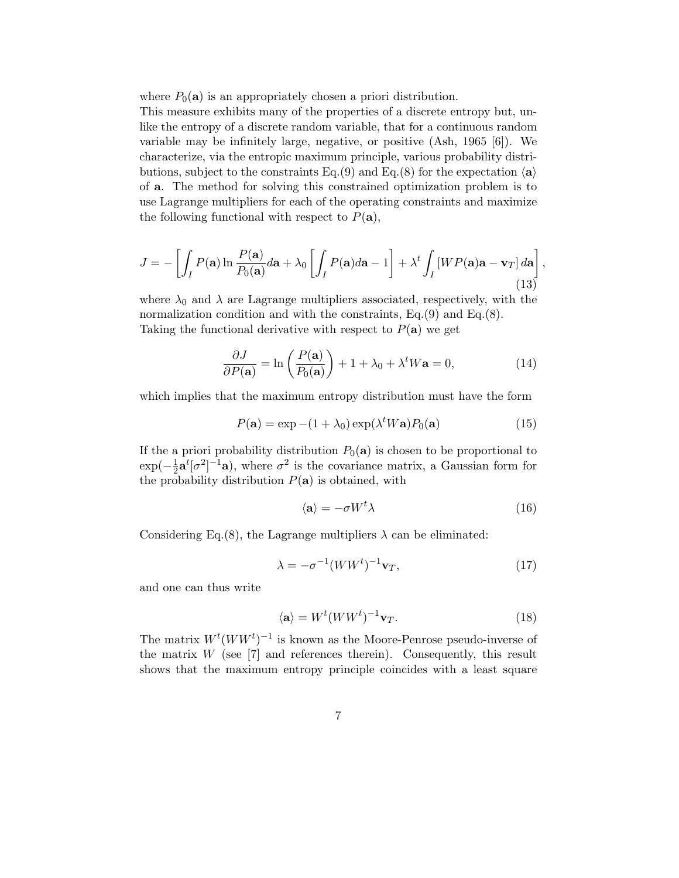where  $P_0(\mathbf{a})$  is an appropriately chosen a priori distribution.

This measure exhibits many of the properties of a discrete entropy but, unlike the entropy of a discrete random variable, that for a continuous random variable may be infinitely large, negative, or positive (Ash, 1965 [6]). We characterize, via the entropic maximum principle, various probability distributions, subject to the constraints Eq.(9) and Eq.(8) for the expectation  $\langle a \rangle$ of a. The method for solving this constrained optimization problem is to use Lagrange multipliers for each of the operating constraints and maximize the following functional with respect to  $P(\mathbf{a})$ ,

$$
J = -\left[\int_I P(\mathbf{a}) \ln \frac{P(\mathbf{a})}{P_0(\mathbf{a})} d\mathbf{a} + \lambda_0 \left[\int_I P(\mathbf{a}) d\mathbf{a} - 1\right] + \lambda^t \int_I \left[W P(\mathbf{a}) \mathbf{a} - \mathbf{v}_T\right] d\mathbf{a}\right],\tag{13}
$$

where  $\lambda_0$  and  $\lambda$  are Lagrange multipliers associated, respectively, with the normalization condition and with the constraints, Eq.(9) and Eq.(8). Taking the functional derivative with respect to  $P(\mathbf{a})$  we get

$$
\frac{\partial J}{\partial P(\mathbf{a})} = \ln\left(\frac{P(\mathbf{a})}{P_0(\mathbf{a})}\right) + 1 + \lambda_0 + \lambda^t W \mathbf{a} = 0,\tag{14}
$$

which implies that the maximum entropy distribution must have the form

$$
P(\mathbf{a}) = \exp -(1 + \lambda_0) \exp(\lambda^t W \mathbf{a}) P_0(\mathbf{a}) \tag{15}
$$

If the a priori probability distribution  $P_0(\mathbf{a})$  is chosen to be proportional to  $\exp(-\frac{1}{2})$  $\frac{1}{2}$  $a^{t} [\sigma^{2}]^{-1}$ **a**), where  $\sigma^{2}$  is the covariance matrix, a Gaussian form for the probability distribution  $P(\mathbf{a})$  is obtained, with

$$
\langle \mathbf{a} \rangle = -\sigma W^t \lambda \tag{16}
$$

Considering Eq.(8), the Lagrange multipliers  $\lambda$  can be eliminated:

$$
\lambda = -\sigma^{-1} (WW^t)^{-1} \mathbf{v}_T, \tag{17}
$$

and one can thus write

$$
\langle \mathbf{a} \rangle = W^t (WW^t)^{-1} \mathbf{v}_T.
$$
 (18)

The matrix  $W^t(WW^t)^{-1}$  is known as the Moore-Penrose pseudo-inverse of the matrix  $W$  (see [7] and references therein). Consequently, this result shows that the maximum entropy principle coincides with a least square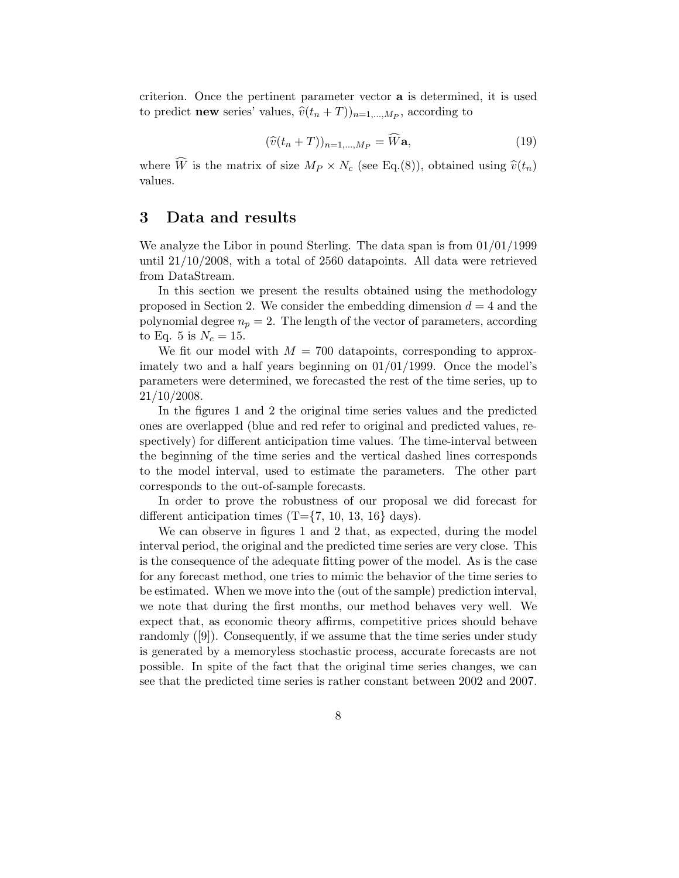criterion. Once the pertinent parameter vector a is determined, it is used to predict **new** series' values,  $\widehat{v}(t_n + T))_{n=1,\dots,M_P}$ , according to

$$
(\widehat{v}(t_n+T))_{n=1,\dots,M_P} = \widehat{W}\mathbf{a},\tag{19}
$$

where  $\widehat{W}$  is the matrix of size  $M_P \times N_c$  (see Eq.(8)), obtained using  $\widehat{v}(t_n)$ values.

# 3 Data and results

We analyze the Libor in pound Sterling. The data span is from 01/01/1999 until 21/10/2008, with a total of 2560 datapoints. All data were retrieved from DataStream.

In this section we present the results obtained using the methodology proposed in Section 2. We consider the embedding dimension  $d = 4$  and the polynomial degree  $n_p = 2$ . The length of the vector of parameters, according to Eq. 5 is  $N_c = 15$ .

We fit our model with  $M = 700$  datapoints, corresponding to approximately two and a half years beginning on 01/01/1999. Once the model's parameters were determined, we forecasted the rest of the time series, up to 21/10/2008.

In the figures 1 and 2 the original time series values and the predicted ones are overlapped (blue and red refer to original and predicted values, respectively) for different anticipation time values. The time-interval between the beginning of the time series and the vertical dashed lines corresponds to the model interval, used to estimate the parameters. The other part corresponds to the out-of-sample forecasts.

In order to prove the robustness of our proposal we did forecast for different anticipation times  $(T=\{7, 10, 13, 16\}$  days).

We can observe in figures 1 and 2 that, as expected, during the model interval period, the original and the predicted time series are very close. This is the consequence of the adequate fitting power of the model. As is the case for any forecast method, one tries to mimic the behavior of the time series to be estimated. When we move into the (out of the sample) prediction interval, we note that during the first months, our method behaves very well. We expect that, as economic theory affirms, competitive prices should behave randomly ([9]). Consequently, if we assume that the time series under study is generated by a memoryless stochastic process, accurate forecasts are not possible. In spite of the fact that the original time series changes, we can see that the predicted time series is rather constant between 2002 and 2007.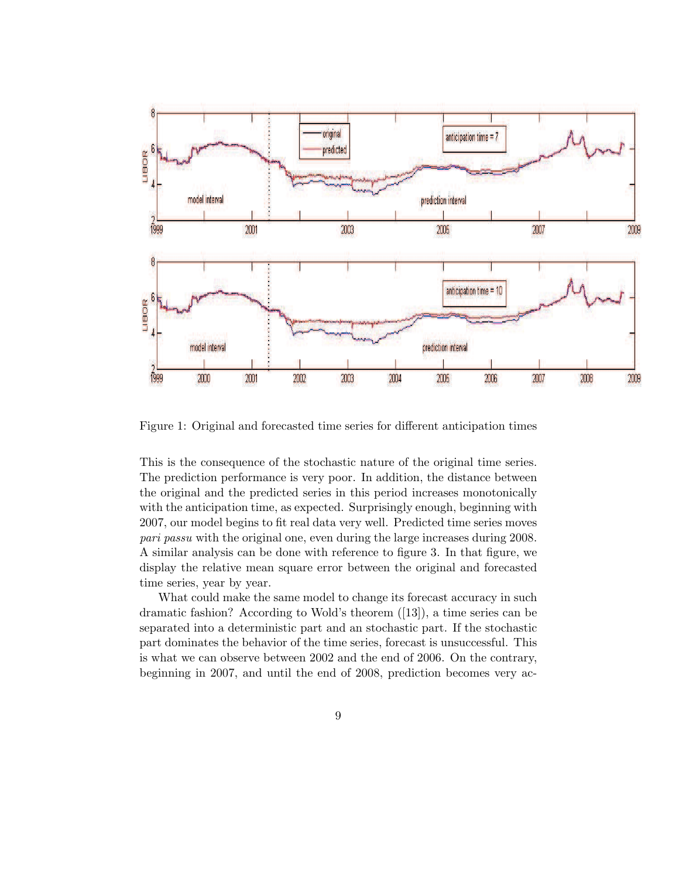

Figure 1: Original and forecasted time series for different anticipation times

This is the consequence of the stochastic nature of the original time series. The prediction performance is very poor. In addition, the distance between the original and the predicted series in this period increases monotonically with the anticipation time, as expected. Surprisingly enough, beginning with 2007, our model begins to fit real data very well. Predicted time series moves *pari passu* with the original one, even during the large increases during 2008. A similar analysis can be done with reference to figure 3. In that figure, we display the relative mean square error between the original and forecasted time series, year by year.

What could make the same model to change its forecast accuracy in such dramatic fashion? According to Wold's theorem ([13]), a time series can be separated into a deterministic part and an stochastic part. If the stochastic part dominates the behavior of the time series, forecast is unsuccessful. This is what we can observe between 2002 and the end of 2006. On the contrary, beginning in 2007, and until the end of 2008, prediction becomes very ac-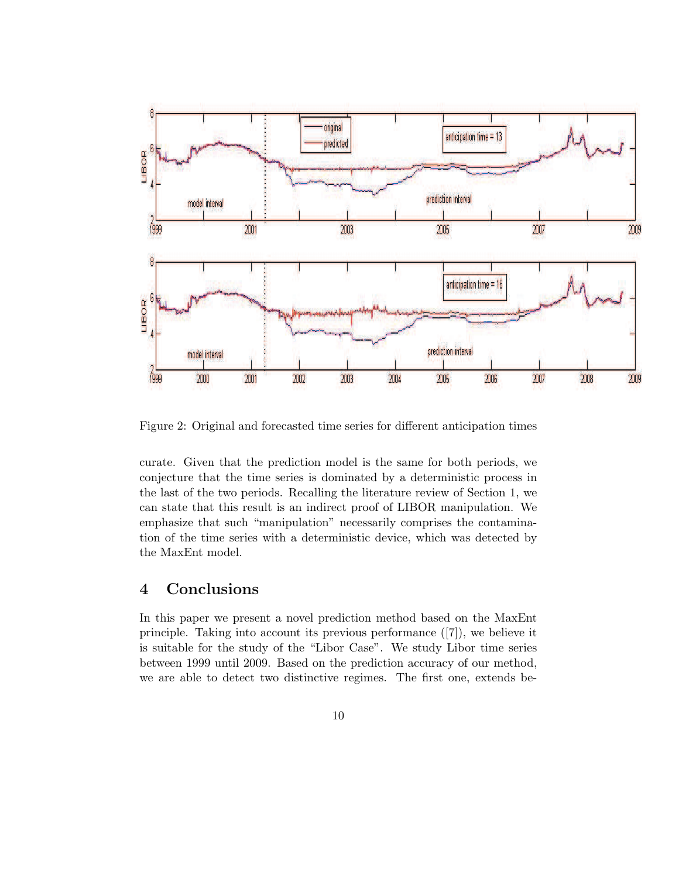

Figure 2: Original and forecasted time series for different anticipation times

curate. Given that the prediction model is the same for both periods, we conjecture that the time series is dominated by a deterministic process in the last of the two periods. Recalling the literature review of Section 1, we can state that this result is an indirect proof of LIBOR manipulation. We emphasize that such "manipulation" necessarily comprises the contamination of the time series with a deterministic device, which was detected by the MaxEnt model.

# 4 Conclusions

In this paper we present a novel prediction method based on the MaxEnt principle. Taking into account its previous performance ([7]), we believe it is suitable for the study of the "Libor Case". We study Libor time series between 1999 until 2009. Based on the prediction accuracy of our method, we are able to detect two distinctive regimes. The first one, extends be-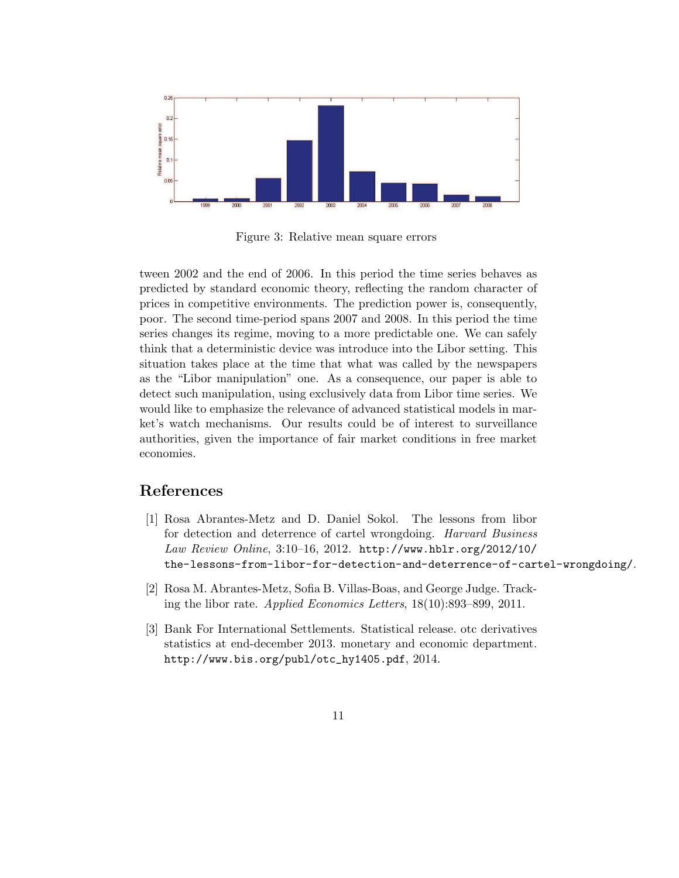

Figure 3: Relative mean square errors

tween 2002 and the end of 2006. In this period the time series behaves as predicted by standard economic theory, reflecting the random character of prices in competitive environments. The prediction power is, consequently, poor. The second time-period spans 2007 and 2008. In this period the time series changes its regime, moving to a more predictable one. We can safely think that a deterministic device was introduce into the Libor setting. This situation takes place at the time that what was called by the newspapers as the "Libor manipulation" one. As a consequence, our paper is able to detect such manipulation, using exclusively data from Libor time series. We would like to emphasize the relevance of advanced statistical models in market's watch mechanisms. Our results could be of interest to surveillance authorities, given the importance of fair market conditions in free market economies.

# References

- [1] Rosa Abrantes-Metz and D. Daniel Sokol. The lessons from libor for detection and deterrence of cartel wrongdoing. *Harvard Business Law Review Online*, 3:10–16, 2012. http://www.hblr.org/2012/10/ the-lessons-from-libor-for-detection-and-deterrence-of-cartel-wrongdoing/.
- [2] Rosa M. Abrantes-Metz, Sofia B. Villas-Boas, and George Judge. Tracking the libor rate. *Applied Economics Letters*, 18(10):893–899, 2011.
- [3] Bank For International Settlements. Statistical release. otc derivatives statistics at end-december 2013. monetary and economic department. http://www.bis.org/publ/otc\_hy1405.pdf, 2014.